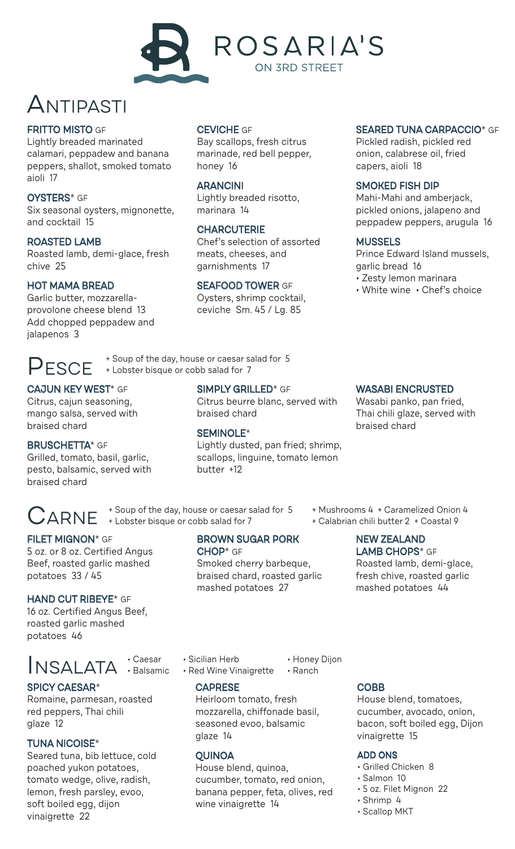

### Antipasti

#### FRITTO MISTO GF

Lightly breaded marinated calamari, peppadew and banana peppers, shallot, smoked tomato aioli 17

#### OYSTERS\* GF

Six seasonal oysters, mignonette, and cocktail 15

#### ROASTED LAMB

Roasted lamb, demi-glace, fresh chive 25

#### HOT MAMA BREAD

Garlic butter, mozzarellaprovolone cheese blend 13 Add chopped peppadew and jalapenos 3

#### CEVICHE GF

Bay scallops, fresh citrus marinade, red bell pepper, honey 16

#### **ARANCINI**

Lightly breaded risotto, marinara 14

#### **CHARCUTERIE**

Chef's selection of assorted meats, cheeses, and garnishments 17

#### SEAFOOD TOWER GF

Oysters, shrimp cocktail, ceviche Sm. 45 / Lg. 85

#### SEARED TUNA CARPACCIO<sup>\*</sup> GF

Pickled radish, pickled red onion, calabrese oil, fried capers, aioli 18

#### SMOKED FISH DIP

Mahi-Mahi and amberjack, pickled onions, jalapeno and peppadew peppers, arugula 16

#### **MUSSELS**

Prince Edward Island mussels, garlic bread 16

- Zesty lemon marinara
- White wine Chef's choice

**PESCE** + Soup of the day, house or caesar salad for 5 + Lobster bisque or cobb salad for 7

#### CAJUN KEY WEST\* GF

Citrus, cajun seasoning, mango salsa, served with braised chard

#### BRUSCHETTA\* GF

Grilled, tomato, basil, garlic, pesto, balsamic, served with braised chard

SIMPLY GRILLED\* GF Citrus beurre blanc, served with braised chard

#### SEMINOLE\*

Lightly dusted, pan fried; shrimp, scallops, linguine, tomato lemon butter +12

CARNE + Soup of the day, house or caesar salad for 5 + Mushrooms 4 + Caramelized Onion 4<br>+ Calabrian chili butter 2 + Coastal 9 + Lobster bisque or cobb salad for 7

### BROWN SUGAR PORK

CHOP\* GF

Smoked cherry barbeque, braised chard, roasted garlic mashed potatoes 27

WASABI ENCRUSTED Wasabi panko, pan fried,

Thai chili glaze, served with braised chard

+ Calabrian chili butter 2 + Coastal 9

### NEW ZEALAND

LAMB CHOPS<sup>\*</sup> GF Roasted lamb, demi-glace, fresh chive, roasted garlic mashed potatoes 44

#### FILET MIGNON\* GF 5 oz. or 8 oz. Certified Angus Beef, roasted garlic mashed potatoes 33 / 45

#### HAND CUT RIBEYE\* GF

16 oz. Certified Angus Beef, roasted garlic mashed potatoes 46

## INSALATA : Caesar

#### SPICY CAESAR\*

Romaine, parmesan, roasted red peppers, Thai chili glaze 12

#### TUNA NICOISE\*

Seared tuna, bib lettuce, cold poached yukon potatoes, tomato wedge, olive, radish, lemon, fresh parsley, evoo, soft boiled egg, dijon vinaigrette 22

- Caesar Sicilian Herb Honey Dijon
	- $\cdot$  Red Wine Vinaigrette  $\cdot$  Ranch
		- CAPRESE

Heirloom tomato, fresh mozzarella, chiffonade basil, seasoned evoo, balsamic glaze 14

#### **OUINOA**

House blend, quinoa, cucumber, tomato, red onion, banana pepper, feta, olives, red wine vinaigrette 14

#### **COBB**

House blend, tomatoes, cucumber, avocado, onion, bacon, soft boiled egg, Dijon vinaigrette 15

#### ADD ONS

- Grilled Chicken 8
- Salmon 10
- 5 oz. Filet Mignon 22
- Shrimp 4
- Scallop MKT